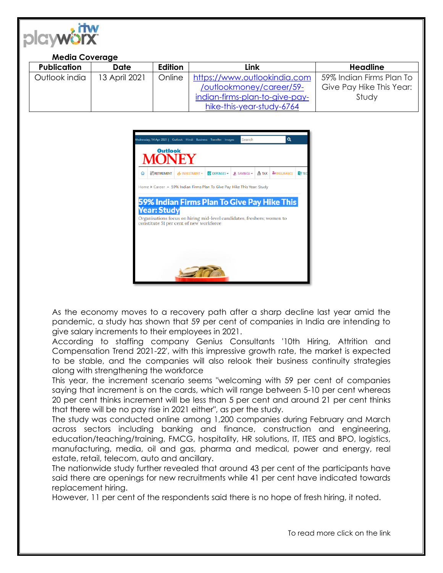

## **Media Coverage**

| <b>Publication</b> | <b>Date</b>   | Edition | Link                                                    | <b>Headline</b>          |
|--------------------|---------------|---------|---------------------------------------------------------|--------------------------|
| Outlook india      | 13 April 2021 | Online  | https://www.outlookindia.com   59% Indian Firms Plan To |                          |
|                    |               |         | /outlookmoney/career/59-                                | Give Pay Hike This Year: |
|                    |               |         | indian-firms-plan-to-give-pay-                          | Study                    |
|                    |               |         | hike-this-year-study-6764                               |                          |



As the economy moves to a recovery path after a sharp decline last year amid the pandemic, a study has shown that 59 per cent of companies in India are intending to give salary increments to their employees in 2021.

According to staffing company Genius Consultants '10th Hiring, Attrition and Compensation Trend 2021-22', with this impressive growth rate, the market is expected to be stable, and the companies will also relook their business continuity strategies along with strengthening the workforce

This year, the increment scenario seems "welcoming with 59 per cent of companies saying that increment is on the cards, which will range between 5-10 per cent whereas 20 per cent thinks increment will be less than 5 per cent and around 21 per cent thinks that there will be no pay rise in 2021 either", as per the study.

The study was conducted online among 1,200 companies during February and March across sectors including banking and finance, construction and engineering, education/teaching/training, FMCG, hospitality, HR solutions, IT, ITES and BPO, logistics, manufacturing, media, oil and gas, pharma and medical, power and energy, real estate, retail, telecom, auto and ancillary.

The nationwide study further revealed that around 43 per cent of the participants have said there are openings for new recruitments while 41 per cent have indicated towards replacement hiring.

However, 11 per cent of the respondents said there is no hope of fresh hiring, it noted.

To read more click on the link